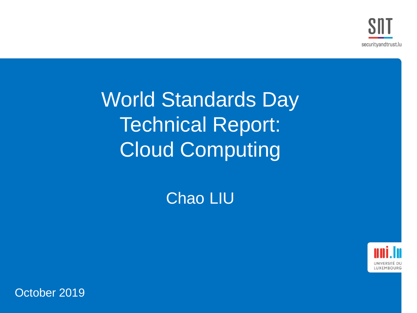World Standards Day Technical Report: Cloud Computing

Chao LIU



October 2019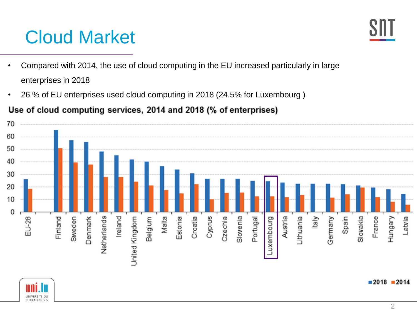# Cloud Market

- Compared with 2014, the use of cloud computing in the EU increased particularly in large enterprises in 2018
- 26 % of EU enterprises used cloud computing in 2018 (24.5% for Luxembourg )



#### Use of cloud computing services, 2014 and 2018 (% of enterprises)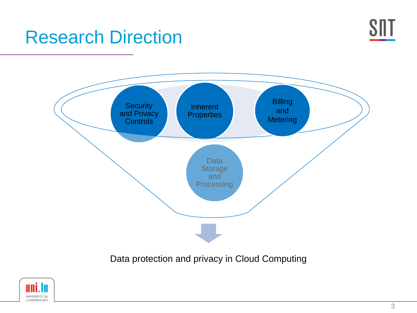

### Research Direction



Data protection and privacy in Cloud Computing

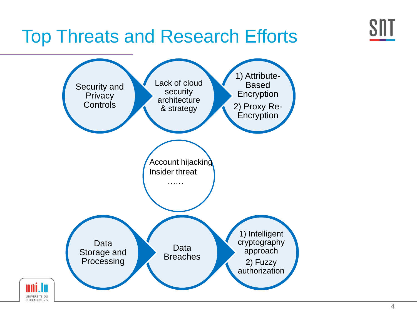

## Top Threats and Research Efforts



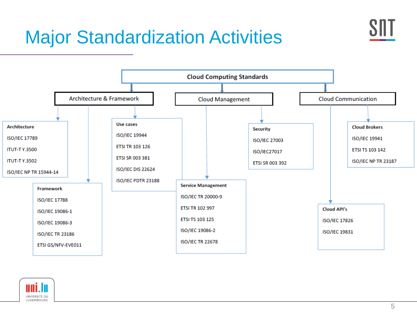# Major Standardization Activities



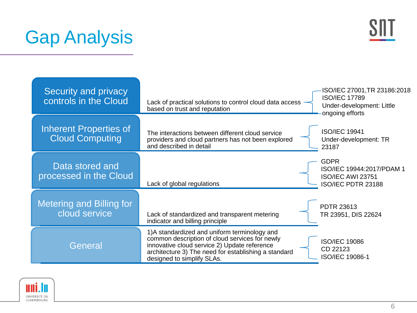# Gap Analysis



| Security and privacy<br>controls in the Cloud    | Lack of practical solutions to control cloud data access<br>based on trust and reputation                                                                                                                                             | ISO/IEC 27001, TR 23186: 2018<br><b>ISO/IEC 17789</b><br>Under-development: Little<br>ongoing efforts |
|--------------------------------------------------|---------------------------------------------------------------------------------------------------------------------------------------------------------------------------------------------------------------------------------------|-------------------------------------------------------------------------------------------------------|
| Inherent Properties of<br><b>Cloud Computing</b> | The interactions between different cloud service<br>providers and cloud partners has not been explored<br>and described in detail                                                                                                     | <b>ISO/IEC 19941</b><br>Under-development: TR<br>23187                                                |
| Data stored and<br>processed in the Cloud        | Lack of global regulations                                                                                                                                                                                                            | <b>GDPR</b><br>ISO/IEC 19944:2017/PDAM 1<br><b>ISO/IEC AWI 23751</b><br>ISO/IEC PDTR 23188            |
| <b>Metering and Billing for</b><br>cloud service | Lack of standardized and transparent metering<br>indicator and billing principle                                                                                                                                                      | <b>PDTR 23613</b><br>TR 23951, DIS 22624                                                              |
| General                                          | 1) A standardized and uniform terminology and<br>common description of cloud services for newly<br>innovative cloud service 2) Update reference<br>architecture 3) The need for establishing a standard<br>designed to simplify SLAs. | <b>ISO/IEC 19086</b><br>CD 22123<br>ISO/IEC 19086-1                                                   |